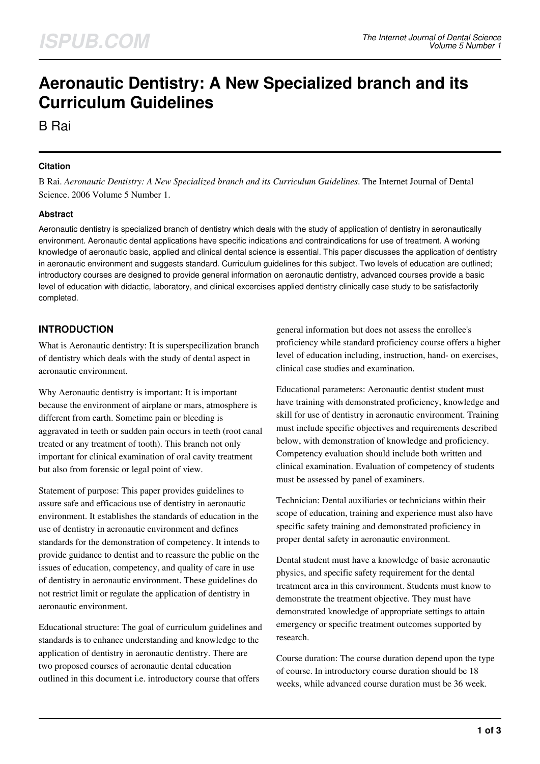# **Aeronautic Dentistry: A New Specialized branch and its Curriculum Guidelines**

B Rai

## **Citation**

B Rai. *Aeronautic Dentistry: A New Specialized branch and its Curriculum Guidelines*. The Internet Journal of Dental Science. 2006 Volume 5 Number 1.

#### **Abstract**

Aeronautic dentistry is specialized branch of dentistry which deals with the study of application of dentistry in aeronautically environment. Aeronautic dental applications have specific indications and contraindications for use of treatment. A working knowledge of aeronautic basic, applied and clinical dental science is essential. This paper discusses the application of dentistry in aeronautic environment and suggests standard. Curriculum guidelines for this subject. Two levels of education are outlined; introductory courses are designed to provide general information on aeronautic dentistry, advanced courses provide a basic level of education with didactic, laboratory, and clinical excercises applied dentistry clinically case study to be satisfactorily completed.

## **INTRODUCTION**

What is Aeronautic dentistry: It is superspecilization branch of dentistry which deals with the study of dental aspect in aeronautic environment.

Why Aeronautic dentistry is important: It is important because the environment of airplane or mars, atmosphere is different from earth. Sometime pain or bleeding is aggravated in teeth or sudden pain occurs in teeth (root canal treated or any treatment of tooth). This branch not only important for clinical examination of oral cavity treatment but also from forensic or legal point of view.

Statement of purpose: This paper provides guidelines to assure safe and efficacious use of dentistry in aeronautic environment. It establishes the standards of education in the use of dentistry in aeronautic environment and defines standards for the demonstration of competency. It intends to provide guidance to dentist and to reassure the public on the issues of education, competency, and quality of care in use of dentistry in aeronautic environment. These guidelines do not restrict limit or regulate the application of dentistry in aeronautic environment.

Educational structure: The goal of curriculum guidelines and standards is to enhance understanding and knowledge to the application of dentistry in aeronautic dentistry. There are two proposed courses of aeronautic dental education outlined in this document i.e. introductory course that offers

general information but does not assess the enrollee's proficiency while standard proficiency course offers a higher level of education including, instruction, hand- on exercises, clinical case studies and examination.

Educational parameters: Aeronautic dentist student must have training with demonstrated proficiency, knowledge and skill for use of dentistry in aeronautic environment. Training must include specific objectives and requirements described below, with demonstration of knowledge and proficiency. Competency evaluation should include both written and clinical examination. Evaluation of competency of students must be assessed by panel of examiners.

Technician: Dental auxiliaries or technicians within their scope of education, training and experience must also have specific safety training and demonstrated proficiency in proper dental safety in aeronautic environment.

Dental student must have a knowledge of basic aeronautic physics, and specific safety requirement for the dental treatment area in this environment. Students must know to demonstrate the treatment objective. They must have demonstrated knowledge of appropriate settings to attain emergency or specific treatment outcomes supported by research.

Course duration: The course duration depend upon the type of course. In introductory course duration should be 18 weeks, while advanced course duration must be 36 week.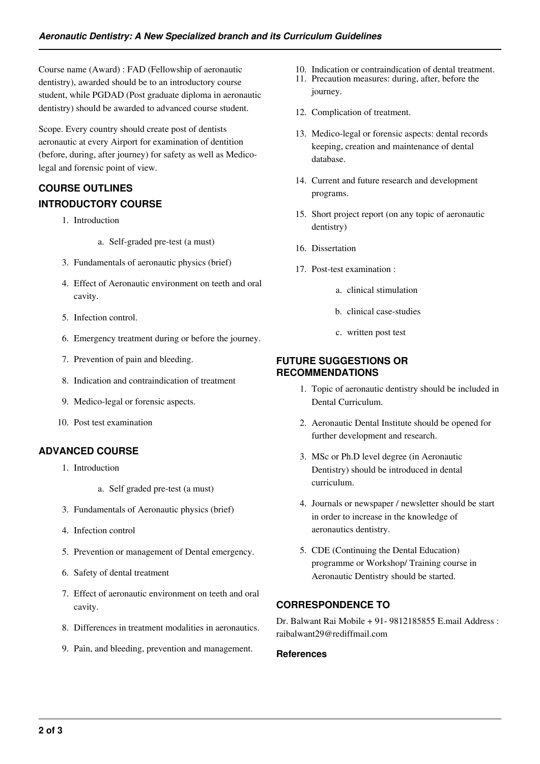Course name (Award) : FAD (Fellowship of aeronautic dentistry), awarded should be to an introductory course student, while PGDAD (Post graduate diploma in aeronautic dentistry) should be awarded to advanced course student.

Scope. Every country should create post of dentists aeronautic at every Airport for examination of dentition (before, during, after journey) for safety as well as Medicolegal and forensic point of view.

## **COURSE OUTLINES INTRODUCTORY COURSE**

- 1. Introduction
	- a. Self-graded pre-test (a must)
- 3. Fundamentals of aeronautic physics (brief)
- 4. Effect of Aeronautic environment on teeth and oral cavity.
- 5. Infection control.
- 6. Emergency treatment during or before the journey.
- 7. Prevention of pain and bleeding.
- 8. Indication and contraindication of treatment
- 9. Medico-legal or forensic aspects.
- 10. Post test examination

## **ADVANCED COURSE**

- 1. Introduction
	- a. Self graded pre-test (a must)
- 3. Fundamentals of Aeronautic physics (brief)
- 4. Infection control
- 5. Prevention or management of Dental emergency.
- 6. Safety of dental treatment
- 7. Effect of aeronautic environment on teeth and oral cavity.
- 8. Differences in treatment modalities in aeronautics.
- 9. Pain, and bleeding, prevention and management.
- 10. Indication or contraindication of dental treatment.
- 11. Precaution measures: during, after, before the journey.
- 12. Complication of treatment.
- 13. Medico-legal or forensic aspects: dental records keeping, creation and maintenance of dental database.
- 14. Current and future research and development programs.
- 15. Short project report (on any topic of aeronautic dentistry)
- 16. Dissertation
- 17. Post-test examination :
	- a. clinical stimulation
	- b. clinical case-studies
	- c. written post test

## **FUTURE SUGGESTIONS OR RECOMMENDATIONS**

- 1. Topic of aeronautic dentistry should be included in Dental Curriculum.
- 2. Aeronautic Dental Institute should be opened for further development and research.
- 3. MSc or Ph.D level degree (in Aeronautic Dentistry) should be introduced in dental curriculum.
- 4. Journals or newspaper / newsletter should be start in order to increase in the knowledge of aeronautics dentistry.
- 5. CDE (Continuing the Dental Education) programme or Workshop/ Training course in Aeronautic Dentistry should be started.

## **CORRESPONDENCE TO**

Dr. Balwant Rai Mobile + 91- 9812185855 E.mail Address : raibalwant29@rediffmail.com

#### **References**